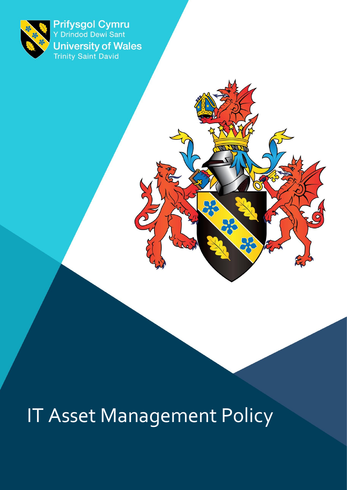

Prifysgol Cymru **University of Wales**<br>Trinity Saint David

# IT Asset Management Policy

 $\omega$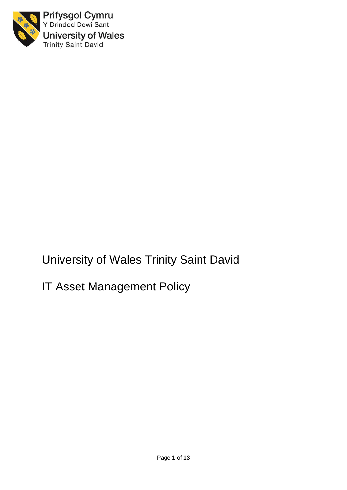

Prifysgol Cymru Y Drindod Dewi Sant **University of Wales** Trinity Saint David

University of Wales Trinity Saint David

IT Asset Management Policy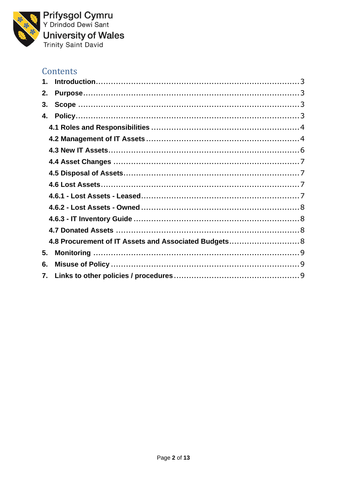

Prifysgol Cymru<br>Y Drindod Dewi Sant **University of Wales**<br>Trinity Saint David

## Contents

| 2. |                                                       |  |
|----|-------------------------------------------------------|--|
| 3. |                                                       |  |
| 4. |                                                       |  |
|    |                                                       |  |
|    |                                                       |  |
|    |                                                       |  |
|    |                                                       |  |
|    |                                                       |  |
|    |                                                       |  |
|    |                                                       |  |
|    |                                                       |  |
|    |                                                       |  |
|    |                                                       |  |
|    | 4.8 Procurement of IT Assets and Associated Budgets 8 |  |
| 5. |                                                       |  |
| 6. |                                                       |  |
| 7. |                                                       |  |
|    |                                                       |  |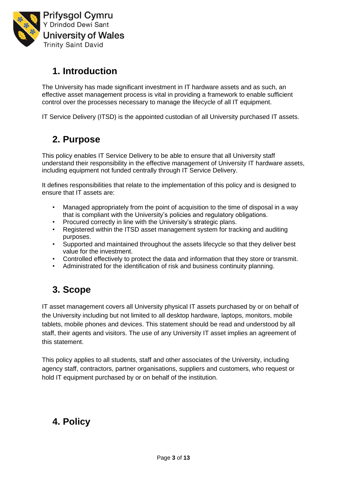

# <span id="page-4-0"></span>**1. Introduction**

The University has made significant investment in IT hardware assets and as such, an effective asset management process is vital in providing a framework to enable sufficient control over the processes necessary to manage the lifecycle of all IT equipment.

IT Service Delivery (ITSD) is the appointed custodian of all University purchased IT assets.

# <span id="page-4-1"></span>**2. Purpose**

This policy enables IT Service Delivery to be able to ensure that all University staff understand their responsibility in the effective management of University IT hardware assets, including equipment not funded centrally through IT Service Delivery.

It defines responsibilities that relate to the implementation of this policy and is designed to ensure that IT assets are:

- Managed appropriately from the point of acquisition to the time of disposal in a way that is compliant with the University's policies and regulatory obligations.
- Procured correctly in line with the University's strategic plans.
- Registered within the ITSD asset management system for tracking and auditing purposes.
- Supported and maintained throughout the assets lifecycle so that they deliver best value for the investment.
- Controlled effectively to protect the data and information that they store or transmit.
- Administrated for the identification of risk and business continuity planning.

## <span id="page-4-2"></span>**3. Scope**

IT asset management covers all University physical IT assets purchased by or on behalf of the University including but not limited to all desktop hardware, laptops, monitors, mobile tablets, mobile phones and devices. This statement should be read and understood by all staff, their agents and visitors. The use of any University IT asset implies an agreement of this statement.

This policy applies to all students, staff and other associates of the University, including agency staff, contractors, partner organisations, suppliers and customers, who request or hold IT equipment purchased by or on behalf of the institution.

# <span id="page-4-3"></span>**4. Policy**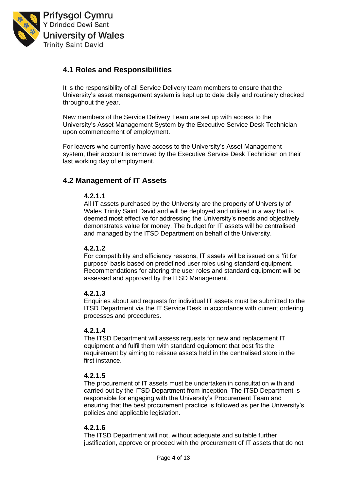

## <span id="page-5-0"></span>**4.1 Roles and Responsibilities**

It is the responsibility of all Service Delivery team members to ensure that the University's asset management system is kept up to date daily and routinely checked throughout the year.

New members of the Service Delivery Team are set up with access to the University's Asset Management System by the Executive Service Desk Technician upon commencement of employment.

For leavers who currently have access to the University's Asset Management system, their account is removed by the Executive Service Desk Technician on their last working day of employment.

## <span id="page-5-1"></span>**4.2 Management of IT Assets**

#### **4.2.1.1**

All IT assets purchased by the University are the property of University of Wales Trinity Saint David and will be deployed and utilised in a way that is deemed most effective for addressing the University's needs and objectively demonstrates value for money. The budget for IT assets will be centralised and managed by the ITSD Department on behalf of the University.

#### **4.2.1.2**

For compatibility and efficiency reasons, IT assets will be issued on a 'fit for purpose' basis based on predefined user roles using standard equipment. Recommendations for altering the user roles and standard equipment will be assessed and approved by the ITSD Management.

#### **4.2.1.3**

Enquiries about and requests for individual IT assets must be submitted to the ITSD Department via the IT Service Desk in accordance with current ordering processes and procedures.

#### **4.2.1.4**

The ITSD Department will assess requests for new and replacement IT equipment and fulfil them with standard equipment that best fits the requirement by aiming to reissue assets held in the centralised store in the first instance.

#### **4.2.1.5**

The procurement of IT assets must be undertaken in consultation with and carried out by the ITSD Department from inception. The ITSD Department is responsible for engaging with the University's Procurement Team and ensuring that the best procurement practice is followed as per the University's policies and applicable legislation.

#### **4.2.1.6**

The ITSD Department will not, without adequate and suitable further justification, approve or proceed with the procurement of IT assets that do not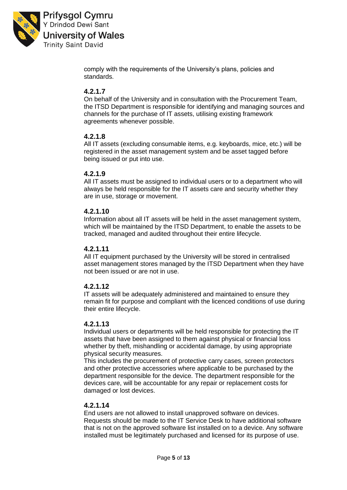

**Prifysgol Cymru** Y Drindod Dewi Sant **University of Wales Trinity Saint David** 

> comply with the requirements of the University's plans, policies and standards.

## **4.2.1.7**

On behalf of the University and in consultation with the Procurement Team, the ITSD Department is responsible for identifying and managing sources and channels for the purchase of IT assets, utilising existing framework agreements whenever possible.

## **4.2.1.8**

All IT assets (excluding consumable items, e.g. keyboards, mice, etc.) will be registered in the asset management system and be asset tagged before being issued or put into use.

#### **4.2.1.9**

All IT assets must be assigned to individual users or to a department who will always be held responsible for the IT assets care and security whether they are in use, storage or movement.

#### **4.2.1.10**

Information about all IT assets will be held in the asset management system, which will be maintained by the ITSD Department, to enable the assets to be tracked, managed and audited throughout their entire lifecycle.

#### **4.2.1.11**

All IT equipment purchased by the University will be stored in centralised asset management stores managed by the ITSD Department when they have not been issued or are not in use.

#### **4.2.1.12**

IT assets will be adequately administered and maintained to ensure they remain fit for purpose and compliant with the licenced conditions of use during their entire lifecycle.

#### **4.2.1.13**

Individual users or departments will be held responsible for protecting the IT assets that have been assigned to them against physical or financial loss whether by theft, mishandling or accidental damage, by using appropriate physical security measures.

This includes the procurement of protective carry cases, screen protectors and other protective accessories where applicable to be purchased by the department responsible for the device. The department responsible for the devices care, will be accountable for any repair or replacement costs for damaged or lost devices.

#### **4.2.1.14**

End users are not allowed to install unapproved software on devices. Requests should be made to the IT Service Desk to have additional software that is not on the approved software list installed on to a device. Any software installed must be legitimately purchased and licensed for its purpose of use.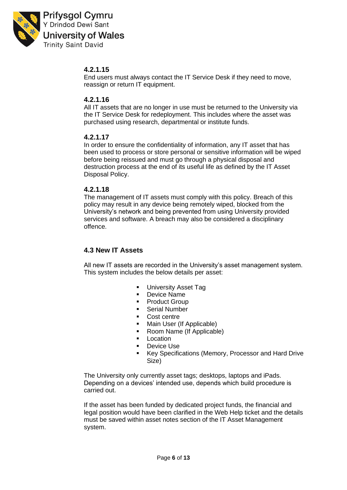

**Prifysgol Cymru** Y Drindod Dewi Sant **University of Wales Trinity Saint David** 

## **4.2.1.15**

End users must always contact the IT Service Desk if they need to move, reassign or return IT equipment.

#### **4.2.1.16**

All IT assets that are no longer in use must be returned to the University via the IT Service Desk for redeployment. This includes where the asset was purchased using research, departmental or institute funds.

### **4.2.1.17**

In order to ensure the confidentiality of information, any IT asset that has been used to process or store personal or sensitive information will be wiped before being reissued and must go through a physical disposal and destruction process at the end of its useful life as defined by the IT Asset Disposal Policy.

#### **4.2.1.18**

The management of IT assets must comply with this policy. Breach of this policy may result in any device being remotely wiped, blocked from the University's network and being prevented from using University provided services and software. A breach may also be considered a disciplinary offence.

## <span id="page-7-0"></span>**4.3 New IT Assets**

All new IT assets are recorded in the University's asset management system. This system includes the below details per asset:

- **•** University Asset Tag
- Device Name
- Product Group
- Serial Number
- Cost centre
- Main User (If Applicable)
- Room Name (If Applicable)
- Location<br>■ Device U
- Device Use
- Key Specifications (Memory, Processor and Hard Drive Size)

The University only currently asset tags; desktops, laptops and iPads. Depending on a devices' intended use, depends which build procedure is carried out.

If the asset has been funded by dedicated project funds, the financial and legal position would have been clarified in the Web Help ticket and the details must be saved within asset notes section of the IT Asset Management system.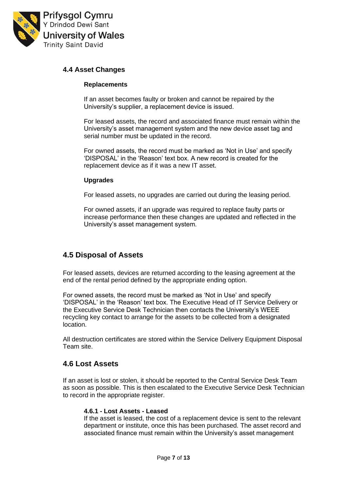

#### <span id="page-8-0"></span>**4.4 Asset Changes**

#### **Replacements**

If an asset becomes faulty or broken and cannot be repaired by the University's supplier, a replacement device is issued.

For leased assets, the record and associated finance must remain within the University's asset management system and the new device asset tag and serial number must be updated in the record.

For owned assets, the record must be marked as 'Not in Use' and specify 'DISPOSAL' in the 'Reason' text box. A new record is created for the replacement device as if it was a new IT asset.

#### **Upgrades**

For leased assets, no upgrades are carried out during the leasing period.

For owned assets, if an upgrade was required to replace faulty parts or increase performance then these changes are updated and reflected in the University's asset management system.

## <span id="page-8-1"></span>**4.5 Disposal of Assets**

For leased assets, devices are returned according to the leasing agreement at the end of the rental period defined by the appropriate ending option.

For owned assets, the record must be marked as 'Not in Use' and specify 'DISPOSAL' in the 'Reason' text box. The Executive Head of IT Service Delivery or the Executive Service Desk Technician then contacts the University's WEEE recycling key contact to arrange for the assets to be collected from a designated location.

All destruction certificates are stored within the Service Delivery Equipment Disposal Team site.

#### <span id="page-8-2"></span>**4.6 Lost Assets**

<span id="page-8-3"></span>If an asset is lost or stolen, it should be reported to the Central Service Desk Team as soon as possible. This is then escalated to the Executive Service Desk Technician to record in the appropriate register.

#### **4.6.1 - Lost Assets - Leased**

If the asset is leased, the cost of a replacement device is sent to the relevant department or institute, once this has been purchased. The asset record and associated finance must remain within the University's asset management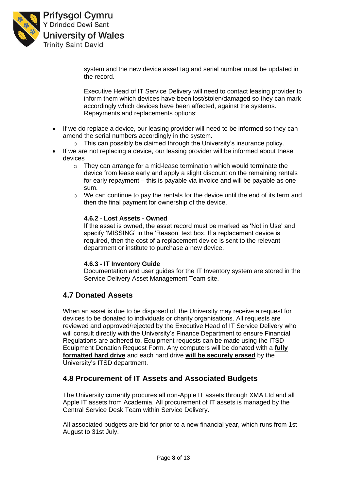

system and the new device asset tag and serial number must be updated in the record.

Executive Head of IT Service Delivery will need to contact leasing provider to inform them which devices have been lost/stolen/damaged so they can mark accordingly which devices have been affected, against the systems. Repayments and replacements options:

- If we do replace a device, our leasing provider will need to be informed so they can amend the serial numbers accordingly in the system.
	- o This can possibly be claimed through the University's insurance policy.
- If we are not replacing a device, our leasing provider will be informed about these devices
	- o They can arrange for a mid-lease termination which would terminate the device from lease early and apply a slight discount on the remaining rentals for early repayment – this is payable via invoice and will be payable as one sum.
	- $\circ$  We can continue to pay the rentals for the device until the end of its term and then the final payment for ownership of the device.

#### <span id="page-9-0"></span>**4.6.2 - Lost Assets - Owned**

If the asset is owned, the asset record must be marked as 'Not in Use' and specify 'MISSING' in the 'Reason' text box. If a replacement device is required, then the cost of a replacement device is sent to the relevant department or institute to purchase a new device.

#### **4.6.3 - IT Inventory Guide**

Documentation and user guides for the IT Inventory system are stored in the Service Delivery Asset Management Team site.

#### <span id="page-9-2"></span><span id="page-9-1"></span>**4.7 Donated Assets**

When an asset is due to be disposed of, the University may receive a request for devices to be donated to individuals or charity organisations. All requests are reviewed and approved/rejected by the Executive Head of IT Service Delivery who will consult directly with the University's Finance Department to ensure Financial Regulations are adhered to. Equipment requests can be made using the ITSD Equipment Donation Request Form. Any computers will be donated with a **fully formatted hard drive** and each hard drive **will be securely erased** by the University's ITSD department.

#### <span id="page-9-3"></span>**4.8 Procurement of IT Assets and Associated Budgets**

The University currently procures all non-Apple IT assets through XMA Ltd and all Apple IT assets from Academia. All procurement of IT assets is managed by the Central Service Desk Team within Service Delivery.

All associated budgets are bid for prior to a new financial year, which runs from 1st August to 31st July.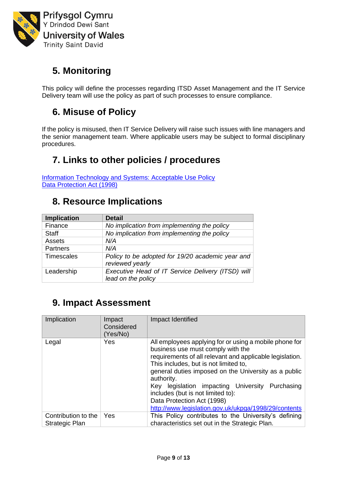

# <span id="page-10-0"></span>**5. Monitoring**

This policy will define the processes regarding ITSD Asset Management and the IT Service Delivery team will use the policy as part of such processes to ensure compliance.

# <span id="page-10-1"></span>**6. Misuse of Policy**

If the policy is misused, then IT Service Delivery will raise such issues with line managers and the senior management team. Where applicable users may be subject to formal disciplinary procedures.

# <span id="page-10-2"></span>**7. Links to other policies / procedures**

[Information Technology and Systems: Acceptable Use Policy](https://www.uwtsd.ac.uk/media/uwtsd-website/content-assets/documents/strategies-policies/its-acceptable-use-policy.pdf) [Data Protection Act \(1998\)](http://www.legislation.gov.uk/ukpga/1998/29/contents)

# **8. Resource Implications**

| <b>Implication</b> | <b>Detail</b>                                                           |
|--------------------|-------------------------------------------------------------------------|
| Finance            | No implication from implementing the policy                             |
| <b>Staff</b>       | No implication from implementing the policy                             |
| Assets             | N/A                                                                     |
| <b>Partners</b>    | N/A                                                                     |
| <b>Timescales</b>  | Policy to be adopted for 19/20 academic year and<br>reviewed yearly     |
| Leadership         | Executive Head of IT Service Delivery (ITSD) will<br>lead on the policy |

## **9. Impact Assessment**

| Implication                                  | Impact<br>Considered<br>(Yes/No) | Impact Identified                                                                                                                                                                                                                                                                                                                                                                                                                                       |
|----------------------------------------------|----------------------------------|---------------------------------------------------------------------------------------------------------------------------------------------------------------------------------------------------------------------------------------------------------------------------------------------------------------------------------------------------------------------------------------------------------------------------------------------------------|
| Legal                                        | Yes                              | All employees applying for or using a mobile phone for<br>business use must comply with the<br>requirements of all relevant and applicable legislation.<br>This includes, but is not limited to,<br>general duties imposed on the University as a public<br>authority.<br>Key legislation impacting University<br>Purchasing<br>includes (but is not limited to):<br>Data Protection Act (1998)<br>http://www.legislation.gov.uk/ukpga/1998/29/contents |
| Contribution to the<br><b>Strategic Plan</b> | Yes                              | This Policy contributes to the University's defining<br>characteristics set out in the Strategic Plan.                                                                                                                                                                                                                                                                                                                                                  |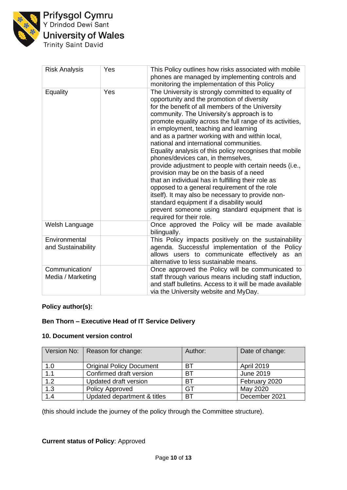

Prifysgol Cymru<br>Y Drindod Dewi Sant **University of Wales**<br>Trinity Saint David

| <b>Risk Analysis</b>                | Yes | This Policy outlines how risks associated with mobile<br>phones are managed by implementing controls and<br>monitoring the implementation of this Policy                                                                                                                                                                                                                                                                                                                                                                                                                                                                                                                                                                                                                                                                                                                                            |
|-------------------------------------|-----|-----------------------------------------------------------------------------------------------------------------------------------------------------------------------------------------------------------------------------------------------------------------------------------------------------------------------------------------------------------------------------------------------------------------------------------------------------------------------------------------------------------------------------------------------------------------------------------------------------------------------------------------------------------------------------------------------------------------------------------------------------------------------------------------------------------------------------------------------------------------------------------------------------|
| Equality                            | Yes | The University is strongly committed to equality of<br>opportunity and the promotion of diversity<br>for the benefit of all members of the University<br>community. The University's approach is to<br>promote equality across the full range of its activities,<br>in employment, teaching and learning<br>and as a partner working with and within local,<br>national and international communities.<br>Equality analysis of this policy recognises that mobile<br>phones/devices can, in themselves,<br>provide adjustment to people with certain needs (i.e.,<br>provision may be on the basis of a need<br>that an individual has in fulfilling their role as<br>opposed to a general requirement of the role<br>itself). It may also be necessary to provide non-<br>standard equipment if a disability would<br>prevent someone using standard equipment that is<br>required for their role. |
| Welsh Language                      |     | Once approved the Policy will be made available<br>bilingually.                                                                                                                                                                                                                                                                                                                                                                                                                                                                                                                                                                                                                                                                                                                                                                                                                                     |
| Environmental<br>and Sustainability |     | This Policy impacts positively on the sustainability<br>agenda. Successful implementation of the Policy<br>allows users to communicate effectively as an<br>alternative to less sustainable means.                                                                                                                                                                                                                                                                                                                                                                                                                                                                                                                                                                                                                                                                                                  |
| Communication/<br>Media / Marketing |     | Once approved the Policy will be communicated to<br>staff through various means including staff induction,<br>and staff bulletins. Access to it will be made available<br>via the University website and MyDay.                                                                                                                                                                                                                                                                                                                                                                                                                                                                                                                                                                                                                                                                                     |

## **Policy author(s):**

#### **Ben Thorn – Executive Head of IT Service Delivery**

#### **10. Document version control**

| Version No:      | Reason for change:              | Author:   | Date of change:   |
|------------------|---------------------------------|-----------|-------------------|
| 1.0              | <b>Original Policy Document</b> | BТ        | <b>April 2019</b> |
| $\overline{1.1}$ | Confirmed draft version         | <b>BT</b> | June 2019         |
| 1.2              | Updated draft version           | <b>BT</b> | February 2020     |
| 1.3              | <b>Policy Approved</b>          | GT        | May 2020          |
| $\overline{1.4}$ | Updated department & titles     | BT        | December 2021     |

(this should include the journey of the policy through the Committee structure).

## **Current status of Policy**: Approved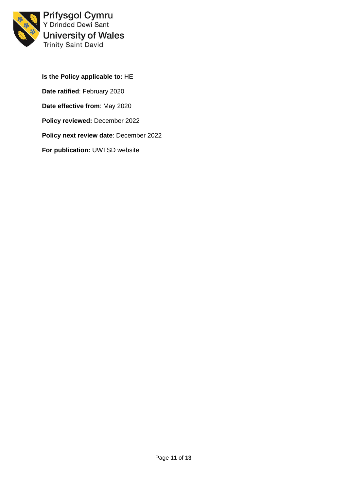

Prifysgol Cymru<br>Y Drindod Dewi Sant **University of Wales** Trinity Saint David

**Is the Policy applicable to:** HE **Date ratified**: February 2020 **Date effective from**: May 2020 **Policy reviewed:** December 2022 **Policy next review date**: December 2022 **For publication:** UWTSD website